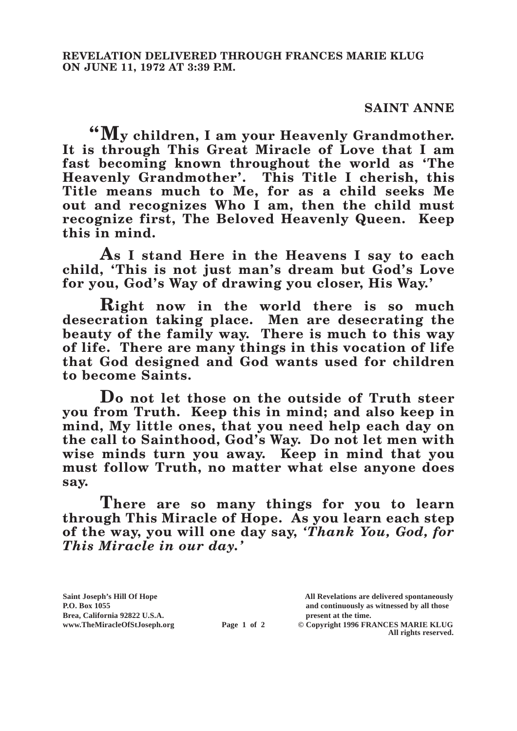## **SAINT ANNE**

**"My children, I am your Heavenly Grandmother. It is through This Great Miracle of Love that I am fast becoming known throughout the world as 'The Heavenly Grandmother'. This Title I cherish, this Title means much to Me, for as a child seeks Me out and recognizes Who I am, then the child must recognize first, The Beloved Heavenly Queen. Keep this in mind.**

**As I stand Here in the Heavens I say to each child, 'This is not just man's dream but God's Love for you, God's Way of drawing you closer, His Way.'**

**Right now in the world there is so much desecration taking place. Men are desecrating the beauty of the family way. There is much to this way of life. There are many things in this vocation of life that God designed and God wants used for children to become Saints.**

**Do not let those on the outside of Truth steer you from Truth. Keep this in mind; and also keep in mind, My little ones, that you need help each day on the call to Sainthood, God's Way. Do not let men with wise minds turn you away. Keep in mind that you must follow Truth, no matter what else anyone does say.**

**There are so many things for you to learn through This Miracle of Hope. As you learn each step of the way, you will one day say,** *'Thank You, God, for This Miracle in our day.'*

**Brea, California 92822 U.S.A. present at the time.**<br> **present at the time.**<br> **present at the time.**<br> **present at the time.**<br> **present at the time.**<br> **present at the time.** 

**Saint Joseph's Hill Of Hope All Revelations are delivered spontaneously P.O. Box 1055 and continuously as witnessed by all those** 

**Page 1 of 2** © Copyright 1996 FRANCES MARIE KLUG **All rights reserved.**